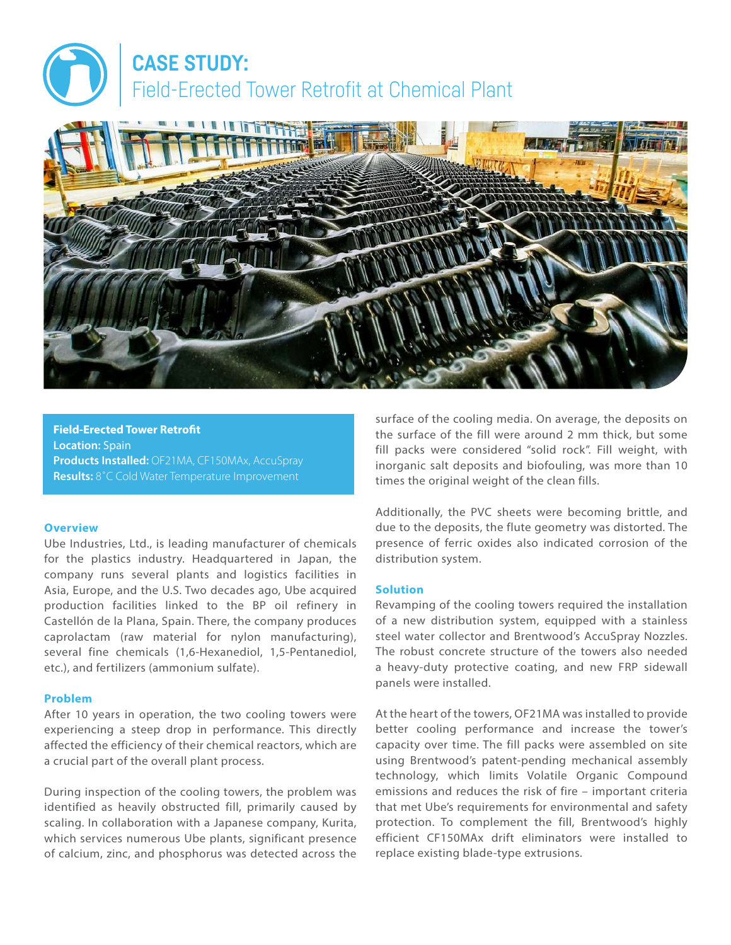# **CASE STUDY:** Field-Erected Tower Retrofit at Chemical Plant



**Field-Erected Tower Retrofit Location:** Spain **Products Installed:** OF21MA, CF150MAx, AccuSpray **Results:** 8˚C Cold Water Temperature Improvement

### **Overview**

Ube Industries, Ltd., is leading manufacturer of chemicals for the plastics industry. Headquartered in Japan, the company runs several plants and logistics facilities in Asia, Europe, and the U.S. Two decades ago, Ube acquired production facilities linked to the BP oil refinery in Castellón de la Plana, Spain. There, the company produces caprolactam (raw material for nylon manufacturing), several fine chemicals (1,6-Hexanediol, 1,5-Pentanediol, etc.), and fertilizers (ammonium sulfate).

### **Problem**

After 10 years in operation, the two cooling towers were experiencing a steep drop in performance. This directly affected the efficiency of their chemical reactors, which are a crucial part of the overall plant process.

During inspection of the cooling towers, the problem was identified as heavily obstructed fill, primarily caused by scaling. In collaboration with a Japanese company, Kurita, which services numerous Ube plants, significant presence of calcium, zinc, and phosphorus was detected across the surface of the cooling media. On average, the deposits on the surface of the fill were around 2 mm thick, but some fill packs were considered "solid rock". Fill weight, with inorganic salt deposits and biofouling, was more than 10 times the original weight of the clean fills.

Additionally, the PVC sheets were becoming brittle, and due to the deposits, the flute geometry was distorted. The presence of ferric oxides also indicated corrosion of the distribution system.

### **Solution**

Revamping of the cooling towers required the installation of a new distribution system, equipped with a stainless steel water collector and Brentwood's AccuSpray Nozzles. The robust concrete structure of the towers also needed a heavy-duty protective coating, and new FRP sidewall panels were installed.

At the heart of the towers, OF21MA was installed to provide better cooling performance and increase the tower's capacity over time. The fill packs were assembled on site using Brentwood's patent-pending mechanical assembly technology, which limits Volatile Organic Compound emissions and reduces the risk of fire – important criteria that met Ube's requirements for environmental and safety protection. To complement the fill, Brentwood's highly efficient CF150MAx drift eliminators were installed to replace existing blade-type extrusions.